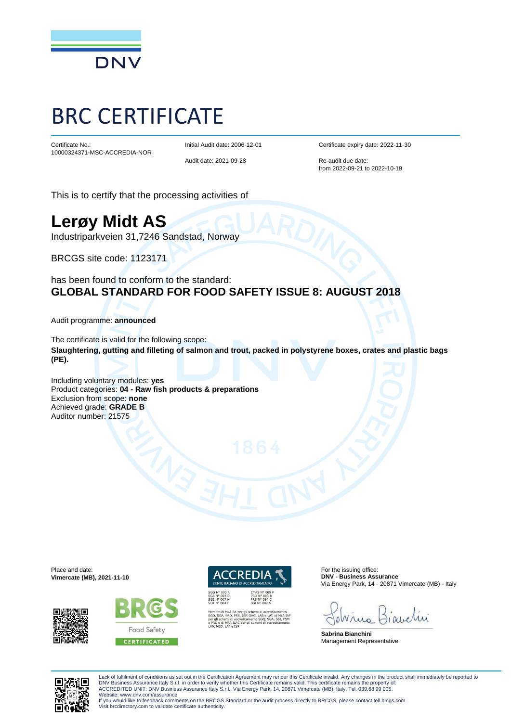

## BRC CERTIFICATE

Certificate No.: 10000324371-MSC-ACCREDIA-NOR Initial Audit date: 2006-12-01

Audit date: 2021-09-28

Certificate expiry date: 2022-11-30

Re-audit due date: from 2022-09-21 to 2022-10-19

This is to certify that the processing activities of

## **Lerøy Midt AS**

Industriparkveien 31,7246 Sandstad, Norway

BRCGS site code: 1123171

has been found to conform to the standard: **GLOBAL STANDARD FOR FOOD SAFETY ISSUE 8: AUGUST 2018**

Audit programme: **announced** 

The certificate is valid for the following scope: **Slaughtering, gutting and filleting of salmon and trout, packed in polystyrene boxes, crates and plastic bags (PE).** 

Including voluntary modules: **yes** Product categories: **04 - Raw fish products & preparations** Exclusion from scope: **none**  Achieved grade: **GRADE B** Auditor number: 21575

Place and date: **Vimercate (MB), 2021-11-10**







For the issuing office: **DNV - Business Assurance** Via Energy Park, 14 - 20871 Vimercate (MB) - Italy

\_\_\_\_\_\_\_\_\_\_\_\_\_\_\_\_\_\_\_\_\_\_\_\_\_\_\_\_\_\_\_\_\_\_\_\_\_\_\_\_\_\_\_\_\_\_\_\_\_\_\_\_\_\_\_\_\_\_\_\_\_\_\_\_\_\_\_\_\_\_\_\_\_\_\_\_\_\_

**Sabrina Bianchini** Management Representative



Lack of fulfilment of conditions as set out in the Certification Agreement may render this Certificate invalid. Any changes in the product shall immediately be reported to DNV Business Assurance Italy S.r.l. in order to verify whether this Certificate remains valid. This certificate remains the property of:<br>ACCREDITED UNIT: DNV Business Assurance Italy S.r.l., Via Energy Park, 14, 20871 Vime

Website: www.dnv.com/assurance If you would like to feedback comments on the BRCGS Standard or the audit process directly to BRCGS, please contact tell.brcgs.com. Visit brcdirectory.com to validate certificate authenticity.